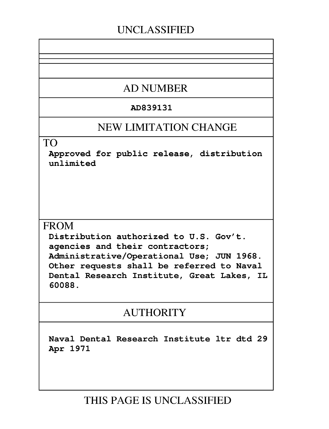# **UNCLASSIFIED**

# **AD NUMBER**

## **AD839131**

# **NEW LIMITATION CHANGE**

## TO

Approved for public release, distribution unlimited

# **FROM**

Distribution authorized to **U.S.** Gov't. agencies and their contractors; Administrative/Operational Use; **JUN 1968.** Other requests shall be referred to Naval Dental Research Institute, Great Lakes, IL **60088.**

# **AUTHORITY**

Naval Dental Research Institute ltr dtd **29** Apr **1971**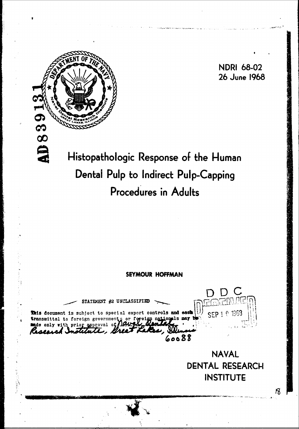

**NDRI 68-02** 26 June 1968

# Histopathologic Response of the Human Dental Pulp to Indirect Pulp-Capping Procedures in Adults

## **SEYMOUR HOFFMAN**

STATEMENT #2 UNCLASSIFIET This decument is subject to special export controls and sack **transmittal to foreign go** only th prior 60088

**NAVAL DENTAL RESEARCH INSTITUTE**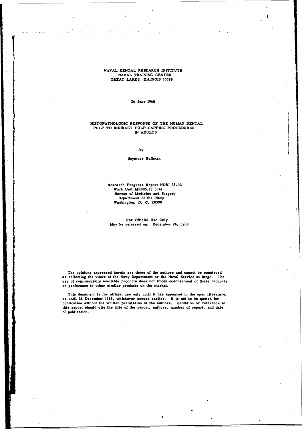**NAVAL DENTAL** RESEARCH INSTITUTE **NAVAL** TRAINING **CENTER** GREAT **LAKES,** ILLLNOIS **60088**

**26** iune **1968**

## **HISTOPATHOLOGIC RESPONSE** OF THE **HUMAN DENTAL PULP** TO INDIRECT PULP-CAPPING PROCEDURES IN **ADULTS**

**by**

## Seymour Hoffman

Research Progress Report NDRI **68-02** Work Unit MROO5. 19 6041 Bureau of Medicine and Surgery Department of the Navy Washington, **D. C. 20390**

For Official **Use** Only May be released on: December **26, 1968**

The opinions expressed herein are those of the authors and cannot be construed **as** reflecting the views of the Navy Department or the Naval Service at large. The use of commercially available products does not imply endorsement of these products or preference to other similar products on the market.

This document **is** for official use only until it **has** appeared in the open literature, or until **26** December 1968. whichever occurs earlier. It is not to be quoted for publication without the written permission of the authors. Quotation or reference to this report should **cite** the title of the report, authors, number of report, and date of publication.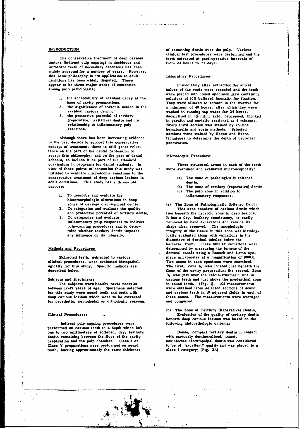lesions (indirect pulp capping) in deciduous and from 24 hours to **73** days. immature teeth of secondary dentitions has been **widely accepted for** a **number of years. However, this same philosophy in Its application to adult aboratory Procedures:** dentitions has been widely disputed. There appear to be three major areas of contention Immediately after extraction the apical<br>among pulp pathologists:<br>halves of the roots were resected and the te

.11

- 1. the acceptability of residual decay at the
- 
- 

Although there has been increasing evidence in the past decade to support this conservative penetration. concept of treatment, there is still great reluctance on the part of the dental profession to accept this philosophy, and on the part of dental Microscopic Procedure: schools, to include it as part of the standard curriculum in programs for dental students. In Three structural areas in each of the teeth view of these points of contention this study was initiated to evaluate microscopic reactions to the conservative treatment of deep carious lesions In (a) The zone of pathologically softened adult dentitions. This study has a three-fold dentin.<br>purpose: (b) The zo

- 1. To describe and evaluate the histomorphologic alterations in deep zones of **carious** circumpulpal dentin; (a) The Zone of Pathologically Softened Dentin.
- and protective potential of tertiary dentin, To categorize and evaluate
- pulp-capping procedures and to deter- shape when removed. The morphologic

clinical procedures, were evaluated histopathol- Two zones in each specimen were examined.

between 17-19 years of age. Specimens selected were obtained from selected sections of sound<br>for this study were sound teeth and teeth with and carious teeth in 10 adjacent fields in each of for this study were sound teeth and teeth with deep carious lesions which were to be extracted for prosthetic, periodontal or orthodontic reasons.

Indirect pulp capping procedures were performed on **carious** teeth to **a** depth which **left** one to two millimeters of softened, dry, leathery **Dense**, compact tertiary dentin in contact dentin remaining between the floor of the cavity **with cariously demineralized**, intact, dentin remaining between the floor of the cavity **with cariously demineralized**, intact,  $\frac{1}{2}$  interests of  $\frac{1}{2}$  or  $\frac{1}{2}$  interests of  $\frac{1}{2}$  or  $\frac{1}{2}$  interests of  $\frac{1}{2}$  or  $\frac{1}{2}$  interests of  $\$ preparation and the pulp chamber. Class I or Class V preparations were performed on sound teeth, leaving approximately the same thickness

**INTRODUCTION** of remaining dentin over the pulp. **Various** clinical test procedures were performed and the The conservative tretment of deep carious teeth extracted at post-operative intervals of

halves of the roots were resected and the teeth were placed into coded specimen jars containing<br>solutions of 10% buffered formalin for fixation. base of cavity preparations, They were allowed to remain in the fixative for the significance of bacteria sealed in the a minimum of 48 hours, after which they were residual carious dentin,<br>the protective potential of tertiary and the decalcified in 5% nitric acid, processed, b **3.** the protective potential of tertiary decalcified in **5%** nitric acid, processed, blocked (reparative, irritative) dentin and its in parafin and serially sectioned at 4 microns. relationship to inflammatory pulp Every third section was stained **by** routine hematoxylin and eosin methods. Selected sections were stained **by** Brown and Brenn

- 
- (b) The zone of tertiary (reparative) dentin. (c) The **pulp** zone in relation to
- 

To categorize and evaluate the quality This area consists of carious dentin which<br>and protective potential of tertiary dentin, lies beneath the necrotic zone in deep lesions. **3.** To categorize and evaluate It has a dry, leathery consistency, **is** easily removed by hand excavators and retains its mine whether tertiary dentin imposes integrity of the tissue in this zone was histolog-<br>any influence on its intensity. Ically evaluated along with variations in the ically evaluated along with variations in the diameters of dentinal tubules below the bacterial front. These tubular variations were Methods and Procedures determined **by** measuring the lumens of the dentinal canals using a Bausch and Lomb eye-Extracted teeth, subjected to various piece micrometer at a magnification of **1000X.** ogically for this study. Specific methods are The first, Zone **A, was** located just beneath the described below. floor of the cavity preparation; the second, Zone B, **was** just over the calcio-traumatic line in Subjects and Specimens: carious teeth and just above the predentinal zone The subjects were healthy naval recruits in sound teeth. **(Fig. 1). All** measurements these zones. The measurements were averaged and compared.

**(b)** The Zone of Tertiary (Reparative) Dentin, Clinical Procedures:  $\bullet$  Evaluation of the quality of tertiary dentin beneath deep carious lesions **was** based on the

**Class** V preparations were performed on sound to **be** of "excellent" quality **and was placed** in a

. ........ \_\_\_\_ ...... **- -** . ,Iill ll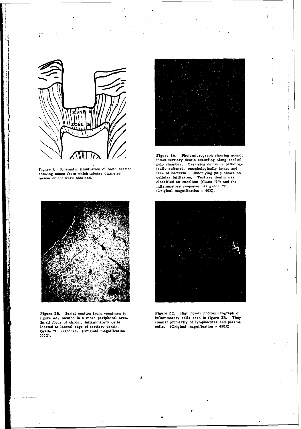

A

**!**

Figure 1. Schematic illustration of tooth section ically softened, morphologically intact and showing zones from which tubular diameter free of bacteria. Underlying pulp shows no showing zones from which tubular diameter measurement were obtained.



Figure 2B. Serial section from opecimen in Figure 2C. High power photomicrograph of figure 2A, located in a more peripheral area. inflammatory cells seen in figure 2B. They Small focus of chronic inflammatory cells consist figure **ZA,** located in a more peripheral area. inflammatory cells seen in figure 2B. They Small focus of chronic inflammatory cells consist primarily of lymphocytes and plasma located at lateral edge of tertiary dentin. **cells.** (Original magnification - 45 Grade **"1"** response. (Original magnification **10OX).**



(

 $\sqrt{\left|\left|\left|\left| \right|\right| \right|} \right|} \qquad \qquad$  **Figure 2A.** Photomicrograph showing sound intact tertiary dentin extending along roof of pulp chamber. Overlying dentin is patholog-ically softened, morphologically intact and measurement were obtained. cellular infiltrates. Tertiary dentin was classified an excellent (Class **"I"')** and the inflammatory response as grade **"I".,** \* (Original magnification -40X).

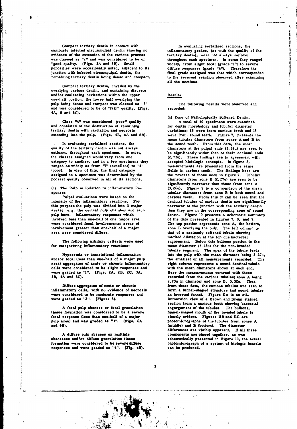Compact tertiary dentin in contact with In evaluating serialized sections, the cariously infected circumpulpal dentin showing no inflammatory grades. (as with the quality evidence of the extension of the carious process was classed as  $"2"$  and was considered to be of was classed **as "2"** and was considered to be of throughout each specimen. In some they ranged porosities were occasionally noted, adjacent to its junction with infected circumpulpal dentin, the remaining tertiary dentin being dense and compact,

**Na**

Compact tertiary dentin, invaded **by** the overlying carious dentin, and containing discrete and/or coalescing cavitations within the upper Results one-half portion, the lower half overlying the pulp being dense and compact was classed as "3" The following results were observed and and was considered to be of "fair" quality. (Figs. recorded: 4A, **5** and **6C).**

and consisted of the destruction of remaining tertiary dentin with cavitation and necrosis variations; **25** were from carious teeth and **<sup>15</sup>**

quality of the tertiary dentin was not always diameters at the pulpal ends (3. 32u) are seen to uniform, throughout each specimen. In most, **be** significantly wider than **at** their occlusal ends the classes assigned would vary from one *(2.73u)*. These findings are in agreement with category to another, and in a few specimens they accepted histologic concepts. In figure 8, category to another, and in a few specimens they accepted histologic concepts. In figure *8,* ranged as widely as from '<sup>1</sup>" (excellent) to "4" (poor). In view of this, the final category fields in carious teeth. The findings here are assigned to a specimen was determined by the the reverse of those seen in figure 7. Tubular poorest quality observed in all of its sections.

pulp horn. Inflammatory responses which dentin.<br>involved less than one-half of one major area schematic summary involved **less** than one-half of one major area of the data presented in figures **7, 8,** and **9.** were considered focal involvements; areas of The top portion represents zone **A,** the bottom, involvement greater than one-half of a major zone B overlying the pulp. The left column **is** involvement greater than one-half of a major and some B overlying the pulp. The left column area were considered diffuse. The state of a cariously softened tubule showing

for categorizing inflammatory reactions:

and/or focal **(less** than one-half of a major pulp the smallest **of all** measurements recorded. The area) aggregates of **acute** or chronic inflammatory right column represents **a** sound dentinal tubule **cells** were considered to **be slight responses** and with the mean diameters shown **at** each end. were graded **as** *"I".* (Figs. ZA, **2B, 2C. 3A, Here** the measurements contrast with those

inflammatory cells, with no evidence of necrosis were considered to **be moderate responses and an** inverted funel. Figure **llA** is an oil.

tissue formation was considered to be a severe **focal response (less than** one-half of **a** major clearly evident. Figures 11B and **11C** are pulp **area)** and **was** graded **as "3".** (Figs. **6A** photomicrographe **of the** tubules from **zones A** and 6B). (middle) and B (bottom). The diameter

**A** diffuse **pulp** abscess or multiple components **are placed together, as was** formation **were considered to be severediffuse** photomicrograph of **a system** of biologic funnels responses and were graded as  $H_1$ . (Fig. 4B).

inflammatory grades, (as with the quality of the tertiary dentin), were not always uniform widely, from slight focal (grade '<sup>n</sup>'') to severe diffuse responses (grade ''4''). Therefore the final grade assigned was that which corresponded<br>to the severest reaction observed after examining all the sections.

(a) Zone of Pathologically Softened Dentin. Class <sup>11</sup>4" was considered "poor" quality **A** total of 40 specimens were examine onsisted of the destruction of remaining for dentin morphology and tubular diameter extending into the pulp. (Figs. 4B, **6A** and 6B). were from sound teeth. Figure **7,** presents the mean tubular diameters from zones **A** and B in In evaluating serialized sections, the the sound teeth. From this data, the mean the reverse of those seen in figure 7. Tubular<br>diameters from zone B (2.27u) are seen to be significantly narrower than those from zone **A** (c) The Pulp in Relation to Inflammatory Re- (3. 26u). Figure **9 is** a comparison of the mean sponses tubular diameters from zone B in both sound and ulpal evaluations were based on the carious teeth. From this it can be seen that the intensity of the inflammatory reactions. For dentinal tubules of carious dentin are significantly this purpose the pulp was divided into **3** major narrower at the junction with the tertiary dentin areas: e.g. the central pulp chamber and each than they are in the corresponding zone of sound<br>
pulp horn, Inflammatory responses which dentin. Figure 10 presents a schematic summary marked dilatation **at** the top due bacterial The following arbitary criteria were used engorement. Below this bulbous portion **is** the tubular segment. The apex of the tubule **leads** Hyperemia or transistional inflammation into the pulp with the mean diameter being 2. 27u, 3B, 4A **and 6C).** recorded from the carious tubules; **zone A** being 2. 73u in diameter and **sone B, 3.** 32u. Thus, Diffuse aggregates of acute or chronic from these data, the carious tubules are seen to numatory cells, with no evidence of necrosis form a funnel-shaped structure and sound tubules immersion view of a Brown and Brenn stained section from a carious tooth showing bacterial **A** focal pulp **abscess** or focal granulation engorgement of the tubules. The bulbous, **differences are** visibly apparent. **If all** three **abscesses and/or diffuse** granulation tissue schematically **presented** in Figure **10,** the actual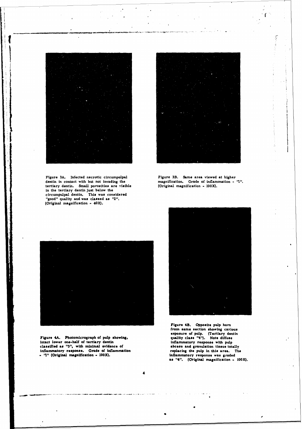Figure 3A. Infected necrotic circumpulpal Figure 3B. Same area viewed at higher dentin in contact with but not invading the magnification. Grade of inflammation tertiary dentin. Small porosities are visible in the tertiary dentin just below the circumpulpal dentin. This was considered "good" quality and was classed as "2". (Original magnification **-** 40X).

ſ

magnification. Grade of inflammation - "1".<br>(Original magnification - 100X).



Figure 4A. Photomicrograph **of** pulp showing, quality **class "4').** Note diffuse intact lower one-half of tertiary dentin inflammatory response with pulp classified as "3", with minimal evidence of abcess and granulation tissue totally classified as  $n_3$ ", with minimal evidence of inflammatory response. Grade of inflammation **replacing the pulp in this area.** The range of the pulp in this area. The inflammatory response was graded **-**  $^{\text{12}}$ " (Original magnification - 100X).

**4**



**Figure 4B. Opposite pulp horn** from **same section showing carious** exposure of pulp. (Tertiary dentin **as "4".** (Original magnification **- IOOX).**

**- "** 1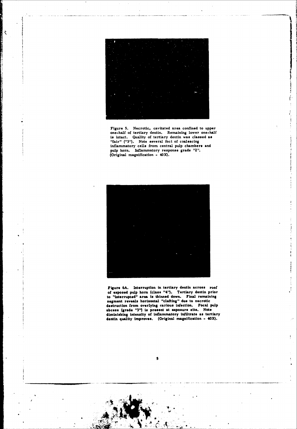

Š

Figure 5. Necrotic, cavitated area confined to upper one-half of tertiary dentin. Remaining lower one-half is intact. Quality of tertiary dentin was classed **as** "fair" **("13").** Note several foci of coalescing inflammatory cells from central pulp chambers and pulp horn. Inflammatory response grade "2' (Original magnification - 4



Figure **6A.** Interruption in tertiary dontin **across** roof of exposed pulp horn (class "14"). Tertiary dentin prior to "interrupted" area is thinned down. Final remaining segment reveals horizontal "clefting" due to necrotic destruction from overlying **carious** infection. Focal pulp abcoss (grade "3") is present at exposure site. Note diminishing Intensity **of** Inflammatory infiltrate **as** tertiary dentin quality improves. (Original magnification - 40X).

s

 $\frac{3}{2}$ ļ

 $\frac{1}{2}$ 

à,

 $\mathfrak i$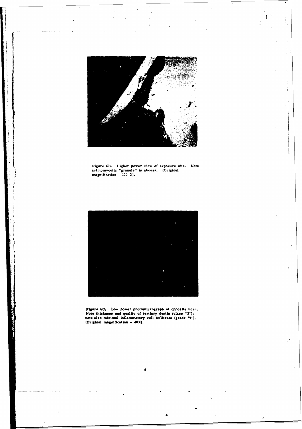

 $\frac{1}{4}$ 

Figure 6B. Higher power view *of* exposure site. Note actinomycotic "granule" in abcess. (Original magnification **-100** Xj.



**rigsaro 6C. Low** power photomicrograph of opposite horn. Note thickness and quaality of tertiary dentin (class **11311.** note also minimal inflammatory call Infiltrate **(grade 111).** (Original magnification - 40X).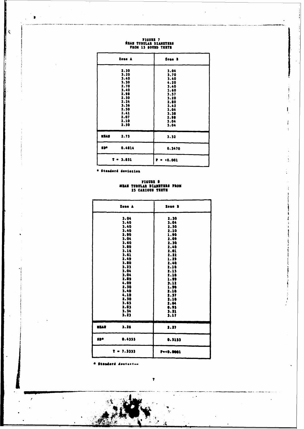| Zone A               | Zone B               |
|----------------------|----------------------|
| 2.30<br>3.20         | 3.04<br>3.70         |
| 3.40<br>3.30<br>2.70 | 3.40<br>4.20<br>3.40 |
| 3.40<br>2.98<br>2.50 | 3.60<br>3.57<br>3.20 |
| 2.24<br>3.36<br>2.50 | 2.80<br>3.42         |
| 2.41<br>2.07         | 3.04<br>3.38<br>2.98 |
| 2.10<br>2.50         | 3.04<br>3.04         |
| 2.73<br>MEAN         | 3.32                 |
| spe<br>0.4814        | 0.3470               |
| $T = 3.851$          | P = <0.001           |

ţ

FIGURE 7<br>REAM TUBULAR DIANETERS<br>FROM 15 SOUMD TERTE

\* Standard deviation

 $\sim$  $\bullet$ 

 $\tilde{\zeta}$ 

# FIGURE &<br>HEAN TUBULAR DIAMETERS FROM<br>25 CARIOUS TESTE

|      | Zone A       | Zone B            |
|------|--------------|-------------------|
|      | 3.04         | 2.30              |
|      | 3.40         | 3.04              |
|      | 3.40         | 2.50              |
|      | 3.40         | 2.10              |
|      | 2.90         | 1.90              |
|      | 3.04         | 2.09              |
|      | 3.60         | 2.30              |
|      | 3.80         | 2.40              |
|      | 3.16         | 2.01              |
|      | 3.61         | 2.22              |
|      | 2.49         | 1.29              |
|      | 3.80         | 2.40              |
|      | 3.23         | 2.10              |
|      | 3.04         | 2.15              |
|      | 3.04<br>2.89 | 1.10              |
|      | 4.09         | 1.99              |
|      | 2.50         | 3.12<br>1.90      |
|      | 3.40         | 2.10              |
|      | 4.18         | 2.57              |
|      | 2.30         | 2.10              |
|      | 3.65         | 2.64              |
|      | 2.83         | 0.93              |
|      | 3.34         | 3.21              |
|      | 3.23         | 3.17              |
| WEAR | 3.26         | ł,<br>2.27        |
| 130  | 0.4355       | 0.5133            |
|      | $T = 7.3333$ | P=< <b>8.0001</b> |

\* Standard deutastna

Λæ

 $\ddot{\phantom{a}}$ 

 $\prime$ 

i.

 $\ddot{\phantom{1}}$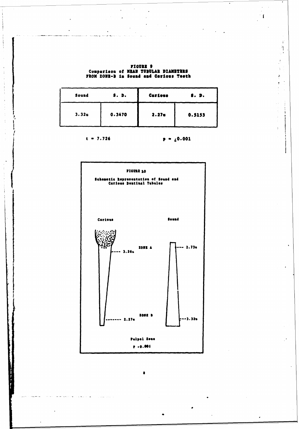|  | <b>FIGURE 9</b>                                                                |
|--|--------------------------------------------------------------------------------|
|  | Comparison of NEAN TUBULAR DIAMETERS<br>FROM ZONE-B in Sound and Carious Teeth |

 $\bar{z}$ 

 $\ddot{\cdot}$ 

 $\ddot{\phantom{0}}$ 

 $\ddot{\phantom{0}}$ 

.<br>Kalèndherang pang kalawang kalawang pangangang pangangang pang mangangang pangangang pangangang pang mang pang

Ĵ

 $\mathbb{R}^2$ 

 $\mathbf{I}$ 

 $\hat{\mathcal{A}}$  $\hat{V}$  $\frac{1}{\sqrt{2}}$ 

 $\frac{1}{\sqrt{2}}$ 

 $\frac{1}{2}$ ż

 $\frac{1}{2}$ 

 $\frac{1}{3}$  ,  $\frac{1}{3}$ 

 $\ddot{\cdot}$ 

| Sound             | <b>S. D.</b> | Carious           | S. D.  |
|-------------------|--------------|-------------------|--------|
| 3.32 <sub>u</sub> | 0.3470       | 2.27 <sub>u</sub> | 0.5153 |

 $p = \sqrt{0.001}$  $t = 7.726$ 



 $\blacksquare$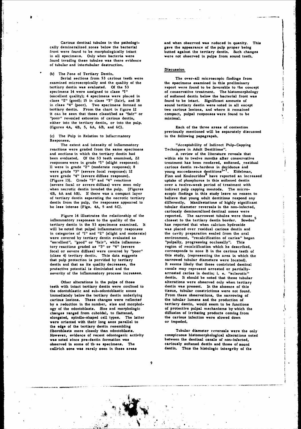cally demineralized zones below the bacterial gave the **appearance** of the pulp proper being found invading these tubules **was** there evidence of tubular and intertubular destruction.

**(b)** The 7one of Tertiary Dentin.

Serial sections from **53** carious teeth were The over-all microscopic **findings from** examined microscopically and the quality of the the specimens examined in **this** preliminary tertiary dentin was evaluated. Of the 53 **report were found to be favorable to the concept**<br>specimens 14 were assigned to class '1" of conservative treatment. The histomorphology specimens 14 were assigned to class '1" of conservative treatment. The histomorphology<br>(excellent quality); 4 specimens were placed in of softened dentin below the bacterial front was class **"2"** (good); **15** in class **"3"** (fair), and **18** found to be intact. Significant amounts of in class  $\frac{1}{4}$ " (poor). Two specimens formed no tertiary dentin. From the chart in figure 12 two carious lesions, and where it remained it can be seen that those classified as "fair" or compact, pulpal responses were found to be "poor" revealed extension of carious dentin, minimal. either into the tertiary dentin, or into the pulp. (figures 4A, 4B, **5, 6A,** 6B, and **6C).** Each of the three areas of contention

(c) The Pulp in Relation to Inflammatory Responses.

reactions were graded from the same specimens and sections in which the tertiary dentin had **A** review of the literature reveals that been evaluated. **Of** the **53** teeth examined, **22** within six to twelve months after conservative responses were in grade **"1"** (slight response); treatment has been rendered, softened, residual 11 were in grade  $"2"$  (moderate response); 8 were grade **"3"** (severe focal response); 12 young succedaneous dentitions **7 .** Eidelrnan, (Figure **13).** Grade **"3"** and **"4"** reactions uptake of phosphorus in this softened dentin (severe focal or severe diffuse) were seen only when necrotic dentin invaded the pulp. (Figures indirect pulp capping mentods. The micro-4B, **6A** and 6B). **If** there was a compact layer scopic findings in this study leave no reason to of tertiary dentin separating the necrotic tertiary believe that young adult dentitions respond any dentin from the pulp, the responses appeared to differently. Manifestations of **highly** significant be less intense (Figs. 4A, **5** and **6C).** tubular diameter reversals in the non-infected,

inflammatory responses to the quality of the closest to the tertiary dentin border. Sowden<sup>5</sup> tertiary dentin in the **53** specimens examined. It has reported that when calcium hydroxide will be noted that pulpal inflammatory responses was placed over residual carious dentin and in categories of  $\frac{1}{1}$  and "2" (slight and moderate) the cavity preparation sealed from the oral<br>were covered by tertiary dentin evaluated as **helicare in the environment**, "recalcification of caries" beg "excellent", "good" or "fair", while inflamma- "pulpally, progressing occlusally". This tory reactions graded as **"3"** or **"4"** (severe region of recalcification which he described, focal or severe diffuse) were covered **by** "poor" corresponds to zone B in the carious teeth of (class 4) tertiary dentin. This data suggests this study, (representing the area in which the that pulp protection **is** porvided **by** tertiary narrowed tubular diameters were located). dentin and that as its quality decreases, the It seems likely that these contricted dentinal protective potential is diminished and the canals may represent arrested or partiallyseverity of the inflammatory process increases. arrested caries in dentin; i. e. "sclerotic"

teeth with intact tertiary dentin were confined to dentin was present. In the absence of this the odontoblastic and sub-odontoblastic zones tissue, tubular constrictions were not found. immediately below the tertiary dentin underlying From these observations, the narrowing of carious lesions. These changes were reflected the tubular lumens and the production of<br>by a reduction in the number, size and morphol-<br>tertiary dentin, would seem to be functions by a reduction in the number, size and morphol-<br>ogy of the odontoblasts. Size and morphologic of protective pulpal mechanisms by which the ogy of the odontoblasts. Size and morphologic changes ranged from cuboidal, to flattened, elongated, spindle-shaped cell types. The latter were oriented with their long axes parallel to or impeded. the **edge** of the tertiary dentin resembling fiboroblasts more closely than odontoblasts. Tubular diameter reversals were the only However, evidence of recent odontogenic activity conspicuous histomorphological alterations noted **was** noted since pro-dentin formation **was** between the dentinal **canals** of non-infected, **observed in some of th, so specimens. The cariously softened dentin and those of sound cellrich sone was rarely seen in these areas** dentin. Thus the histologic intergrity of the

Carious dentinal tubules in the pathologi-<br>cally demineralized zones below the bacterial gave the appearance of the pulp proper being front were found to be morphologically intact butted **against** the tertiary dentin. Such changes were not observed in pulps from sound teeth.

### **Discussion**

of softened dentin below the bacterial front was

previously mentioned will be separately discussed<br>in the following papagrapsh.

The extent and intensity of inflammatory **The extent and intensity of Indirect Pulp-Capping**<br>
Sons were graded from the same specimens<br>
Techniques in Adult Dentitions".

were grade **"4"** (severe diffuse response). Finn and Koulourides 8 have reported an increased cariously demineralized dentinal zones were Figure 14 illustrates the relationship of the reported. The narrowest tubules were those environment, "recalcification of caries" began dentin. It should be noted that these tubular Other alterations in the pulps of those alterations were observed only when tertiary diffusion of irritating products coming from the carious infection were slowed down

**X..-**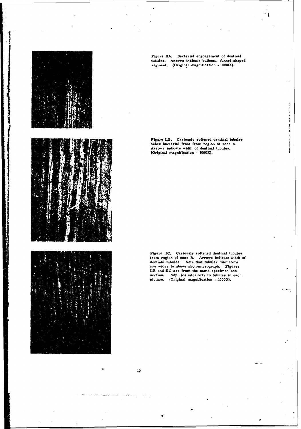

Figure **IlA.** Bacterial engorgement of dentinal tubules. Arrows indicate bulbous, funnel-shaped segment. (Original magnification - 1000X)

Figure 113. Cariously softened dentinal tubules below bacterial front from region of zone **A.** Arrows indicate width of dentinal tubules. (Original magnification - 1000X).

Figure **IiC.** Cariously softened dentinal tubules from region of zone B. Arrows indicate width of dentinal tubules. Note that tubular diameters are wider in above photomicrograph. Figures JIB and **11C** are from the same specimen and section. Pulp lies inferiorly to tubules in each picture. (Original magnification - IOOX).

 $\bullet$  +  $\cdot$ 

10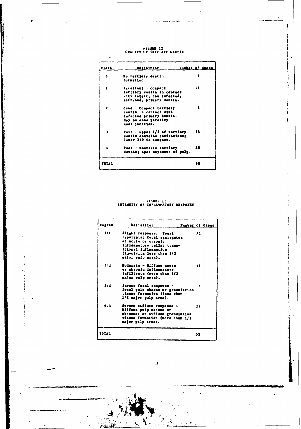*FlcURE* 12 PIGUÈE 12<br>QUALITT OF **TERTIART DENTIN**<br>QUALITT OF **TERTIART DENTIN** 

| Class                   | Definition                                                                                                             | <b>Number of Capes</b>  |
|-------------------------|------------------------------------------------------------------------------------------------------------------------|-------------------------|
| o                       | No tertiery dentin<br>formation                                                                                        | $\overline{\mathbf{z}}$ |
| ı                       | Excellent - compact<br>tertiary dentin in contact<br>with intact, nen-infected,<br>softened, primary dentin.           | 14                      |
| $\overline{\mathbf{z}}$ | Good - Compact tertiary<br>dentin a contact with<br>infected primary dentin.<br>May be some porosity<br>near junction. |                         |
| ı                       | $Tair - upper 1/2 of testary$<br>dentis contains cavitations:<br>lower 1/2 is compact.                                 | 15                      |
|                         | Poor - macrotic tertiary<br>dentin; open exposure of pulp.                                                             | 18                      |
| TOTAL                   |                                                                                                                        | 53                      |

١

**FIGURE 13 INTENSITY Of INFLANATORY** RESPONSE

| Degree       | Definition                                                                                                                                                                          | <b>Humber of Cases</b> |
|--------------|-------------------------------------------------------------------------------------------------------------------------------------------------------------------------------------|------------------------|
| 1st          | Slight response. Focal<br>hyperemia; focal aggregates<br>of acute or chronic<br>inflammatory cells; trans-<br>itional inflammation<br>(involving less than 1/2<br>major pulp area). | 22                     |
| 2nd          | Moderate - Diffuse acute<br>or chronic inflammatory<br>infiltrate (more than 1/2<br>major pulp area).                                                                               | 11                     |
| 3rd          | Savere focal response -<br>focal pulp abcess or granulation<br>tissue formation (less than<br>1/2 major pulp area).                                                                 | R                      |
| áth          | Severe diffuse response -<br>Diffuse pulp abcess or<br>abcesses or diffuse granulation<br>tissue formation (more than 1/2<br>major pulp area).                                      | 12                     |
| <b>TOTAL</b> |                                                                                                                                                                                     | 53                     |

 $\mathbf{n}$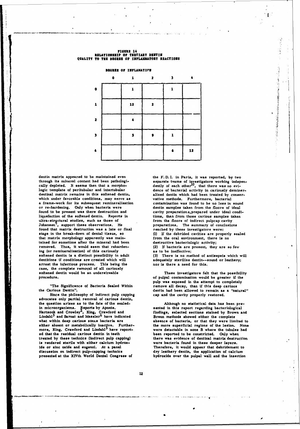## **FIGURE 14 - UILATIONSELP OF TERTIARY DENTIN<br>QUALITT TO THE DEGRES OF INFLAMMATORY REACTIONI**

**DEGREE OF INFLANATION** 

|                         | ¢ | 1  | 2 | 3 |    |
|-------------------------|---|----|---|---|----|
| 0                       |   | 1  |   | 1 |    |
| 1                       |   | 12 | 7 |   |    |
| $\overline{\mathbf{z}}$ |   |    |   |   |    |
| $\overline{\mathbf{3}}$ |   | s  |   | 1 |    |
|                         |   |    |   |   | 12 |

dentin matrix appeared to be maintained even the **F.D. I.** in Paris. it was reported, **by** two through its mineral content had been pathologi- separate teams of investigators working indepencally depleted. It seems then that a morpho-  $\det$  dently of each other<sup>10</sup>, that there was no evically depleted. It seems then that a morpho-<br>logic template of peritubular and intertubular dence of bacterial activity in cariously deminerdentinal matrix remains in this softened dentin, alized dentin which had been treated **by** conserwhich under favorable conditions, may serve as vative methods. Furthermore, bacterial a frame-work for its subsequest remineralization contamination was found to be no less in sound or re-hardening. Only when bacteria were dentin samples taken from the floors of ideal found to **be** present was there destruction and cavity preparations,prepared under ideal condiliquefaction of the softened dentin. Reports in tions, than from those carious samples taken ultra-structural studies, such as those of from the floors of indirect pulpcap cavity ultra-structural studies, such as those of Johansen<sup>2</sup>, support these observations. He found that matrix destruction was a late or final reached **by** these investigators were: stage in the break-down of dental tissue, so **(1)** If the debrided cavities are properly sealed that matrix morphology apparently was main- from the oral environment, there is no tained for sometime after the mineral had been destructive bacteriologic activity; removed. Thus, it would seem that reharden- (2) **If** bacteria are present, they are so few ing (or remineralization) of this cariously **as** to be ineffective; softened dentin is a distinct possibility in adult **(3)** There is no method of antisepsis which will dentitions **if** conditions are created which will adequately sterilize dentin--sound or leathery; arrest the infectious process. This being the nor is there a need for this. case, the complete removal of all cariously softened dentin would be an undersireable These investigators felt that the possibility

"The Significance of Bacteria Sealed Within remove all decay, than if this deep carious the Carious Dentin".<br>
dentin had been allowed to remain as a "nai

Since the philosophy of indirect pulp capping advocates only partial removal of carious dentin, the question arises as to the fate of the sealed-<br>in microorganisms. Reports by Aponte,<br>sented in this report regarding bacteriological in microorganisms. Reports by Aponte, Hartsook and Crowley<sup>2</sup>, King, Crawford and Lindahl<sup>3</sup> and Sarnat and Massler<sup>6</sup> have indicated Brenn methods showed either the complete what within deep carious sones bacteria are absence of bacteria, or that they were lim what within **deep** carious sones bacteria are absence of bacteria, or that they were limited to either absent or metabolically inactive. Further- the more superficial regions of the lesion. None either absent or metabolically inactive. Further-<br>more, King, Crawford and Lindahl<sup>3</sup> have report-<br>were detectable in zone B where the tubules had ed that the residual carious dentin in teeth **been** reported to be constricted. Only when<br>treated by these technics (indirect pulp capping) there was evidence of dentinal matrix destru is rendered sterile with either calcium hydroxide or zinc oxide and eugenol. At **a** panel Therefore, it would appear that debridement to discussion on indirect pulp-capping technics dry leathery dentin, the application of calcium presented **at** the XXVth World Dental Congress of hydroxide over the pulpal wall and the Insertion

preparations. The summary of conclusions

○ はない おいかん あんかん

C.

procedure. of pulpal contamination would be greater if the pulp was exposed in the attempt to completely dentin had been allowed to remain as a "natural" cap and the cavity properly restored.

> Hartsook and Crowley , King, Crawford and findings, selected sections stained **by** Brown and there was evidence of dentinal matrix destruction<br>were bacteria found in these deeper layers.

64. \*ff, . . . . . . . .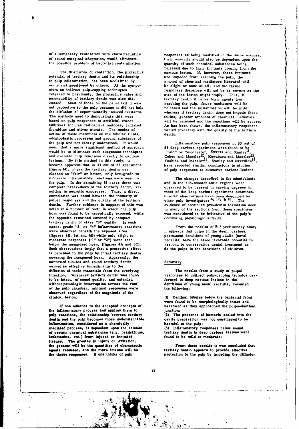of a temporary restoration with characteristics responses as being mediated in the same manner,

The third area of contention, the protective carious lesion. If, however, these irritants<br>potential of tertiary dentin and its relationship are impeded from reaching the pulp, the potential of tertiary dentin and its relationship are impeded from reaching the pulp, the to pulp inflammation, has been acclaimed by amount of chemical mediators liberated with to pulp inflammation, has been acclaimed **by** amount of chemical mediators liberated will **some and questioned** *by* **others. At the syrups- be slight or none at all, and the tissue** sium on indirect pulp-capping techniques responses therefore will not be as severe as the referred to previously, the protective value and size of the lesion might imply. Thus, if permeability of tertiary dentin was also dis-<br>tertiary dentin impedes toxic agents from cussed. Most of those on the panel felt it was reaching the pulp, fewer mediators will be not protective to the pulp because it did not halt released and the inflammation will be mild; the diffusion of experimentally induced irritants, whereas if tertiary dentin does not impede these The methods used to demonstrate this were additives such as radioactive isotopes, tritiated **As** has been shown, the inflammatory responses action of these materials on the tubular fluids, and the dentin. odontoblastic processes and ground substance of the pulp are not clearly understood. It would Inflammatory pulp responses in **33** out of seem that a more significant method of approach seem that a more significant method of approach 53 deep carious specimens were found to be would be to eliminate such exogenous techniques "mild" or "moderate". Reeves and Stanley and evaluate pulp reactions directly to carious cohen and Massler<sup>12</sup>. Kuwabara and Massler<sup>12</sup> and evaluate pulp reactions directly to carious lesions. By this method in this study, it became apparent that in **33** out of **53** specimens have reported similar conclusions in studies (figure 14), where the tertiary dentin was **of** pulp responses to extensive carious lesions. classed as "fair" or better, only low-grade to moderate inflammatory reactions were seen in The changes described in the odontoblasts the **pulp.** In the remaining **18** cases there was and in the sub-odontoblastic regions were complete break-down of the tertiary dentin, re- observed to be present in varying degrees in sulting in necrotic exposures. Thus, a direct most of the deep carious specimens examined. correlation was noted between the intensity of Similar observations have been described by<br>pulpal responses and the quality of the tertiary other pulp investigators<sup>16, 17, & 18</sup>. The pulpal responses and the quality of the tertiary dentin. Further evidence in support of this was evidence of continued pre-dentin formation seen<br>noted in a number of teeth in which one pulp in many of the sections from these specimens noted in a number of teeth in which one pulp in many of the sections from these specimens<br>horn was found to be necrotically exposed, while was considered to be indicative of the pulp's the opposite remained covered by compact tertiary dentin of class **"3"** quality. In such cases, grade **"3"** or "4" inflammatory reactions From the results of this preliminary study were observed beneath the exposed sites it appears that pulps in the deep, carious, (figures 4B, **6A** and 6B) while only slight to permanent dentitions of young adults (naval below the unexposed horn, (figures 4A and 6C). **The same favorable potential to a same favorable potential to be the same favorable potential treatment as** Such observations imply that a protective effect do the pulps **in** the dentitions of children. is provided to the pulp **by** intact tertiary dentin covering the unexposed horn. Apparently, the narrowed tubules and sound tertiary dentin Summary served as effective impediments to the diffusion of toxic materials from the overlying The results from a study of pulpal infection. Whenever tertiary dentin was found responses to indirect pulp-capping techni to be intact, of sound quality, and extended without pathologic interruption **across** the roof dentitions of young **naval recruits, revealed** of the pulp chamber, minimal responses were observed **regardless** of the **magnitude** of the

**the inflamnatory process and applies them to Junction; pulp reactions, the relationship between tertiary (2) The** presence **of bacteria sealed into the dentin and the** pulp **becomes more understandable, cavity preparation was not considered to be Inflammation, considered as a chamically** harmful to the pulp;<br> **Inflammatory responses below sound**<br>
of certain chemical substances (e.g. bradykinins, tertiary dentin in deep carious lesions were<br>  $\frac{1}{2}$ <br>  $\frac{1}{2}$ mediated **process**, is dependent upon the release **of certain chemical substances (e.g. bradykinins, tertiary dentin in deep carious leukotaxins, etc.)** from injured or irritated found to be mild to moderate; leukotaxins, etc.) from injured or irritated **tissues. The greater** in injury or irritation, **the greater will be the quantities of chemotactic From these results it was concluded that agents released, and the more intense** will **be tertiary dentin appears** to **provide effective the tissue responses. If one thinks of pulp protection to the pulp by impeding the diffusion**

S- - **..** \* **-. ,**

of sound marginal adaptation, would eliminate their severity should also be dependent upon the the possible problem of bacterial contamination, quantity of such chemical substances being released due to **toxic** irritants coming from the The methods used to demonstrate this were **the set is example to absolute** to the mediators based on pulp responses to artificial tracer will be released and the reactions will be severe. varied inversely with the quality of the tertiary

 $\mathbf{H}$ , Stanley and Swerdlow<sup>15</sup>,

was considered to be indicative of the pulp's continuing physiologic activity.

responses to indirect pulp-capping technics per-<br>formed in deep carious lesions in the

**clinical lesion. (1) Dentinal** tubules below the bacterial front **were found to be morphologically intact and If one adheres to the accepted concepts of narrowed** as **they approached the pulpo-dentinal**

.. ...\_\_\_ \_ \_ \_ \_ \_\_ \_ \_ \_ \_"\_ \_ \_ \_\_•\_ **\_\_t**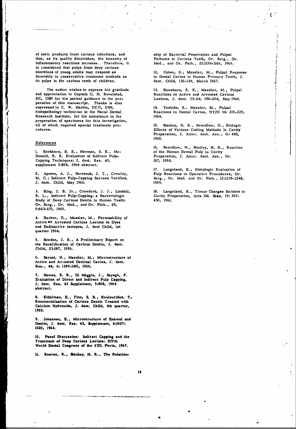of toxic products from carious infections, and ship of Bacterial Penetration and Pulpal that, as its quality diminishes, the intensity of Pathosis in Carious Teeth, Or. Surg., Or. inflammatory reactions increase. Therefore, it **Med.,** and Or. Path., **22:1159-1165, 1966.** is considered that pulps from deep carious dentitions of young adults may respond as 12. Cohen, **S.,** Massler, M., Pulpal Response favorably to conservative treatment methods as to Dental Caries in Human Primary Teeth, **J.** do pulps in the carious teeth of children, dent. Child, **130-139,** March **1967.**

The author wishes to express his gratitude **13.** Kuwabara, R. **K.,** Massler, M., Pulpal and appreciation to Captain **G.** H. Rovelstad, Reactions to Active and Arrested Carious **DC, USN** for his patient guidance in the pre- Lesions, **J.** dent. Child, 190-204, May **1966.** paration of this manuscript. Thanks is also expressed to C. W. Martin, DT/1, USN, 14. Yoshida, S., Massler, M., Pulpal histopathology technician at the Naval Dental Reactions to Dental Caries, **NYJD** 34: 215-225, Research Institute, for his assistance in the 1964. preperation of specimens for this investigation, all of which required special treatment pro- **15.** Stanley, H. R., Swerdlow, H., Biologic

### References

1. Kerkhove, B. E., Herman, S. E., Mc-Donald, **R. E.** Evaluation of Indirect **Pulp-** Preparation, **J.** Amer. dent. Ass., **56:** Capping Techniques; **J.** dent. Res. 43, **317, 1958.** supplement **5:808,** 1964 abstract.

M. **C.;** Indirect Pulp-Capping Success Verified, Surg., Or. Med. and Or. Path., **12:1235-1248, J.** dent. Child, May **1966. 1959.**

R. **L.,** Indirect Pulp-Capping; a Bacteriologic Cavity Preparation, Acta **Od.** Scan. **19: 397-** Study of Deep Carious Dentin in Human Teeth; 430, **1961.** Or. Surg., Or. Med., and Or. Path.. 20, **5:663-671, 1965.**

4. Barber, **D.,** Massler, M., Permeability of Active an Arrested **Carious** Lesions to **Dyes** and Radioactive Isotopes, **J.** dent Child, **1st** quarter 1964.

**5.** Sowden, **J.** R., **A** Preliminary Report on the Recalification of Carious Dentin, **J.** dent. Child, **23:187, 1956.**

**6.** Sarnat, **H., Massler, M., Microstructure of Active and Arrested** Dentinal **Caries, J.** dent. **Re.., 44, 6:** 1389-1401, **1965.**

**7. Hawes, R. R.,** Di Maggio, *3.,* **Sayegh,** F. Evaluation of Direct and Indirect Pulp Capping, **J. dent. Res, 43 Supplement, 5:808. 1964 abstract.**

**8. Eidelman, E., Finn, S. B., Koulourides, T. Reminerallaation** of **Carious Dentin Treated with Calcium Hydroxide,** *3,* **dent. Child, 4th quarter, 1965.**

**9. Johansen, E., Microstructure of Enamel and Dentin,** *J.* **dent. Res. 43, Supplement, 6:1007- 1020, 1964,**

**10. Panel Discussion: Indirect** Capping **and the Treatment of Deep Carious Lesions; XlVth World Dental Congress of the FDI; Paris, 1967.**

**11. Reeves, R.. &anley, H. R., The Relation-**

**.** [I.e., *I.e., <i>I.e.*, *I.e., I.e., <i>I.e.*, *I.e.*, *I.e.*, *I.e.*, *I.e.*, *I.e.*, *I.e.*, *I.e.*, *I.e.*, *I.e.*, *I.e.*, *I.e.*, *I.e.*, *I.e., <i>I.e.*, *I.e.*, *I.e.*, *I.e.*, *I.e.*, *I.e.*, *I.e., <i>I.e.*, *I.e.*,

cedures. Effects of Various Cutting Methode In Cavity Preparation, **J.** Amer. dent. Ass., **61:** 450, **1960.**

**16.** Swerdlow, H., Stanley, H. R., Reaction

**17.** Langeland, K., Histologic Evaluation of 2. Aponte, **A.** *J.,* Hartsook, **J. T.,** Crowley, Pulp Reactions to Operative Procedures, Or.

**3.** King. **J.** B. Jr., Crawford, **J.** *3.,* Lindahl, **18.** Langeland, K., Tissue Changes Incident to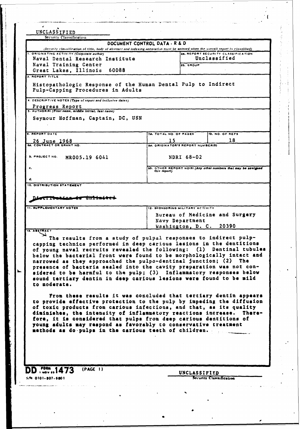| $\epsilon$                                                                                                                               |                                                                                                                                                                                                                                                                                                                                                                                                                                                                                                                                                                                                          |
|------------------------------------------------------------------------------------------------------------------------------------------|----------------------------------------------------------------------------------------------------------------------------------------------------------------------------------------------------------------------------------------------------------------------------------------------------------------------------------------------------------------------------------------------------------------------------------------------------------------------------------------------------------------------------------------------------------------------------------------------------------|
| UNCLASSIFIED<br>Security Classification                                                                                                  |                                                                                                                                                                                                                                                                                                                                                                                                                                                                                                                                                                                                          |
|                                                                                                                                          | DOCUMENT CONTROL DATA - R & D<br>(Security classification of title, body of abstract and indexing annotation must be entered when the overall report is classified)                                                                                                                                                                                                                                                                                                                                                                                                                                      |
| 1. ORIGINATING ACTIVITY (Corporate author)<br>Naval Dental Research Institute<br>Naval Training Center<br>Great Lakes, Illinois<br>60088 | 20. REPORT SECURITY CLASSIFICATION<br>Unclassified<br>2b. GROUP                                                                                                                                                                                                                                                                                                                                                                                                                                                                                                                                          |
| 3. REPORT TITLE<br>Pulp-Capping Procedures in Adults                                                                                     | Histopathologic Response of the Human Dental Pulp to Indirect                                                                                                                                                                                                                                                                                                                                                                                                                                                                                                                                            |
| 4. DESCRIPTIVE NOTES (Type of roport and inclusive dates)<br>Progress Report<br>5. AUTHOR(S) (First name, middle initial, last name)     |                                                                                                                                                                                                                                                                                                                                                                                                                                                                                                                                                                                                          |
| Seymour Hoffman, Captain, DC, USN                                                                                                        |                                                                                                                                                                                                                                                                                                                                                                                                                                                                                                                                                                                                          |
| <b>6. REPORT DATE</b>                                                                                                                    | <b>78. TOTAL NO. OF PAGES</b><br>7b. NO. OF REFS                                                                                                                                                                                                                                                                                                                                                                                                                                                                                                                                                         |
| 26 June 1968<br>88. CONTRACT OR GRANT NO.                                                                                                | 18<br>15<br>98. ORIGINATOR'S REPORT NUMBER(S)                                                                                                                                                                                                                                                                                                                                                                                                                                                                                                                                                            |
| <b>b. PROJECT NO.</b><br>MR005.19 6041                                                                                                   | NDRI 68-02                                                                                                                                                                                                                                                                                                                                                                                                                                                                                                                                                                                               |
| c.<br>d.                                                                                                                                 | 9b. OTHER REPORT NO(5) (Any other numbers that may be assigned<br>this report)                                                                                                                                                                                                                                                                                                                                                                                                                                                                                                                           |
| 10. DISTRIBUTION STATEMENT                                                                                                               |                                                                                                                                                                                                                                                                                                                                                                                                                                                                                                                                                                                                          |
| <b>11. SUPPLEMENTARY NOTES</b>                                                                                                           | 12. SPONSORING MILITARY ACTIVITY<br>Bureau of Medicine and Surgery<br>Navy Department<br>20390<br>Washington, D. C.                                                                                                                                                                                                                                                                                                                                                                                                                                                                                      |
| 13. ABSTRACT<br>to moderate.                                                                                                             | The results from a study of pulpal responses to indirect pulp-<br>capping technics performed in deep carious lesions in the dentitions<br>narrowed as they approached the pulpo-dentinal junction; (2) The<br>presence of bacteria sealed into the cavity preparation was not con-<br>sidered to be harmful to the pulp; (3) Inflammatory responses below<br>sound tertiary dentin in deep carious lesions were found to be mild                                                                                                                                                                         |
| methods as do pulps in the carious teeth of children.<br>(PAGE 1)<br>$D$ . They set $1473$                                               | of young naval recruits revealed the following: (1) Dentinal tubules<br>below the bacterial front were found to be morphologically intact and<br>From these results it was concluded that tertiary dentin appears<br>to provide effective protection to the pulp by impeding the diffusion<br>of toxic products from carious infections, and that, as its quality<br>diminishes, the intensity of inflammatory reactions increase.<br>re-<br>The<br>fore, it is considered that pulps from deep carious dentitions of<br>young adults may respond as favorably to conservative treatment<br>UNCLASSIFIED |

医无异性痉挛 医大

 $\frac{1}{2}$ 

 $\label{eq:1} \frac{1}{\sqrt{2\pi}}\int_{0}^{\pi} \frac{1}{\sqrt{2\pi}}\left(\frac{1}{\sqrt{2\pi}}\right)^{2\pi} \frac{1}{\sqrt{2\pi}}\int_{0}^{\pi} \frac{1}{\sqrt{2\pi}}\left(\frac{1}{\sqrt{2\pi}}\right)^{2\pi} \frac{1}{\sqrt{2\pi}}\frac{1}{\sqrt{2\pi}}\int_{0}^{\pi} \frac{1}{\sqrt{2\pi}}\frac{1}{\sqrt{2\pi}}\frac{1}{\sqrt{2\pi}}\frac{1}{\sqrt{2\pi}}\frac{1}{\sqrt{2\pi}}\frac{1}{\sqrt{2\$ 医生态 医法学家治学学家 医产尿 人

 $\frac{1}{2}$ 

 $\ddot{\phantom{a}}$ 

医小体的 医无间隙的 医白

 $\frac{1}{\sqrt{2}}$